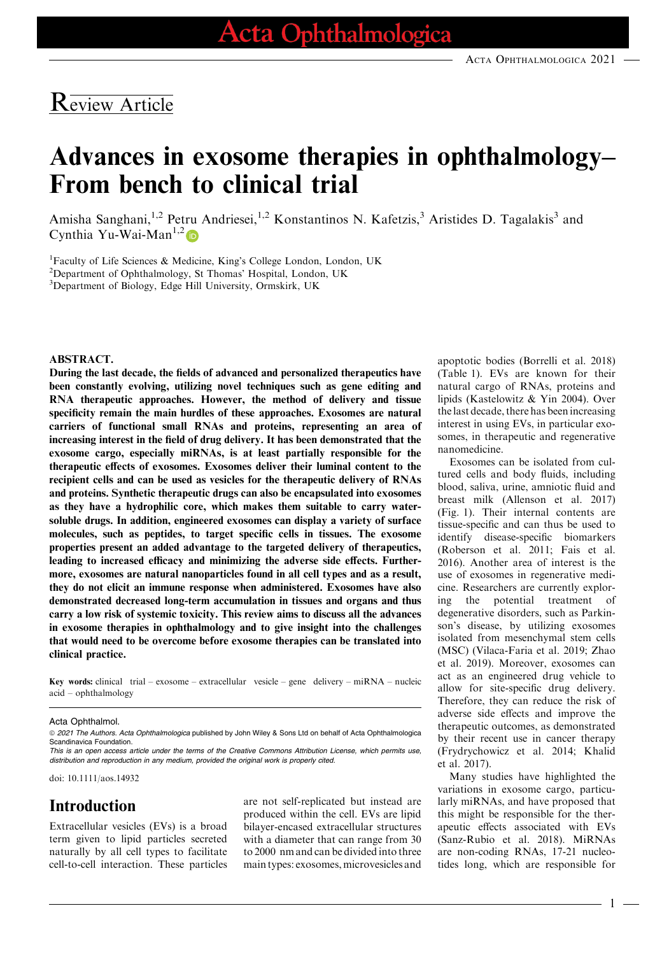## Review Article

# Advances in exosome therapies in ophthalmology– From bench to clinical trial

Amisha Sanghani,<sup>1,2</sup> Petru Andriesei,<sup>1,2</sup> Konstantinos N. Kafetzis,<sup>3</sup> Aristides D. Tagalakis<sup>3</sup> and Cynthia Yu-Wai-Man<sup>1,[2](https://orcid.org/0000-0003-4868-5187)</sup>

<sup>1</sup>Faculty of Life Sciences & Medicine, King's College London, London, UK

<sup>2</sup>Department of Ophthalmology, St Thomas' Hospital, London, UK

3 Department of Biology, Edge Hill University, Ormskirk, UK

#### ABSTRACT.

During the last decade, the fields of advanced and personalized therapeutics have been constantly evolving, utilizing novel techniques such as gene editing and RNA therapeutic approaches. However, the method of delivery and tissue specificity remain the main hurdles of these approaches. Exosomes are natural carriers of functional small RNAs and proteins, representing an area of increasing interest in the field of drug delivery. It has been demonstrated that the exosome cargo, especially miRNAs, is at least partially responsible for the therapeutic effects of exosomes. Exosomes deliver their luminal content to the recipient cells and can be used as vesicles for the therapeutic delivery of RNAs and proteins. Synthetic therapeutic drugs can also be encapsulated into exosomes as they have a hydrophilic core, which makes them suitable to carry watersoluble drugs. In addition, engineered exosomes can display a variety of surface molecules, such as peptides, to target specific cells in tissues. The exosome properties present an added advantage to the targeted delivery of therapeutics, leading to increased efficacy and minimizing the adverse side effects. Furthermore, exosomes are natural nanoparticles found in all cell types and as a result, they do not elicit an immune response when administered. Exosomes have also demonstrated decreased long-term accumulation in tissues and organs and thus carry a low risk of systemic toxicity. This review aims to discuss all the advances in exosome therapies in ophthalmology and to give insight into the challenges that would need to be overcome before exosome therapies can be translated into clinical practice.

Key words: clinical trial – exosome – extracellular vesicle – gene delivery – miRNA – nucleic acid – ophthalmology

Acta Ophthalmol.

© 2021 The Authors. Acta Ophthalmologica published by John Wiley & Sons Ltd on behalf of Acta Ophthalmologica Scandinavica Foundation.

This is an open access article under the terms of the [Creative Commons Attribution](http://creativecommons.org/licenses/by/4.0/) License, which permits use, distribution and reproduction in any medium, provided the original work is properly cited.

doi: 10.1111/aos.14932

#### Introduction

Extracellular vesicles (EVs) is a broad term given to lipid particles secreted naturally by all cell types to facilitate cell-to-cell interaction. These particles

are not self-replicated but instead are produced within the cell. EVs are lipid bilayer-encased extracellular structures with a diameter that can range from 30 to 2000 nm and can be divided into three main types: exosomes, microvesicles and

apoptotic bodies (Borrelli et al. 2018) (Table 1). EVs are known for their natural cargo of RNAs, proteins and lipids (Kastelowitz & Yin 2004). Over the last decade, there has been increasing interest in using EVs, in particular exosomes, in therapeutic and regenerative nanomedicine.

Exosomes can be isolated from cultured cells and body fluids, including blood, saliva, urine, amniotic fluid and breast milk (Allenson et al. 2017) (Fig. 1). Their internal contents are tissue-specific and can thus be used to identify disease-specific biomarkers (Roberson et al. 2011; Fais et al. 2016). Another area of interest is the use of exosomes in regenerative medicine. Researchers are currently exploring the potential treatment of degenerative disorders, such as Parkinson's disease, by utilizing exosomes isolated from mesenchymal stem cells (MSC) (Vilaca-Faria et al. 2019; Zhao et al. 2019). Moreover, exosomes can act as an engineered drug vehicle to allow for site-specific drug delivery. Therefore, they can reduce the risk of adverse side effects and improve the therapeutic outcomes, as demonstrated by their recent use in cancer therapy (Frydrychowicz et al. 2014; Khalid et al. 2017).

Many studies have highlighted the variations in exosome cargo, particularly miRNAs, and have proposed that this might be responsible for the therapeutic effects associated with EVs (Sanz-Rubio et al. 2018). MiRNAs are non-coding RNAs, 17-21 nucleotides long, which are responsible for

1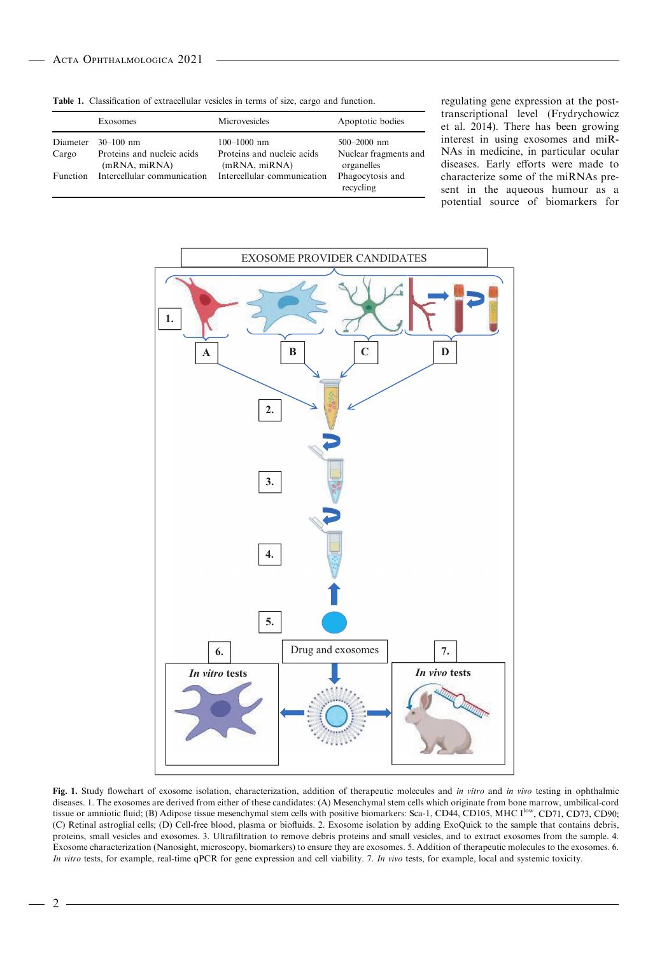|                 | Exosomes                                    | Microvesicles                               | Apoptotic bodies                    |
|-----------------|---------------------------------------------|---------------------------------------------|-------------------------------------|
| Diameter        | $30-100$ nm                                 | $100 - 1000$ nm                             | $500 - 2000$ nm                     |
| Cargo           | Proteins and nucleic acids<br>(mRNA, miRNA) | Proteins and nucleic acids<br>(mRNA, miRNA) | Nuclear fragments and<br>organelles |
| <b>Function</b> | Intercellular communication                 | Intercellular communication                 | Phagocytosis and<br>recycling       |

Table 1. Classification of extracellular vesicles in terms of size, cargo and function.

regulating gene expression at the posttranscriptional level (Frydrychowicz et al. 2014). There has been growing interest in using exosomes and miR-NAs in medicine, in particular ocular diseases. Early efforts were made to characterize some of the miRNAs present in the aqueous humour as a potential source of biomarkers for



Fig. 1. Study flowchart of exosome isolation, characterization, addition of therapeutic molecules and in vitro and in vivo testing in ophthalmic diseases. 1. The exosomes are derived from either of these candidates: (A) Mesenchymal stem cells which originate from bone marrow, umbilical-cord tissue or amniotic fluid; (B) Adipose tissue mesenchymal stem cells with positive biomarkers: Sca-1, CD44, CD105, MHC I<sup>low</sup>, CD71, CD73, CD90; (C) Retinal astroglial cells; (D) Cell-free blood, plasma or biofluids. 2. Exosome isolation by adding ExoQuick to the sample that contains debris, proteins, small vesicles and exosomes. 3. Ultrafiltration to remove debris proteins and small vesicles, and to extract exosomes from the sample. 4. Exosome characterization (Nanosight, microscopy, biomarkers) to ensure they are exosomes. 5. Addition of therapeutic molecules to the exosomes. 6. In vitro tests, for example, real-time qPCR for gene expression and cell viability. 7. In vivo tests, for example, local and systemic toxicity.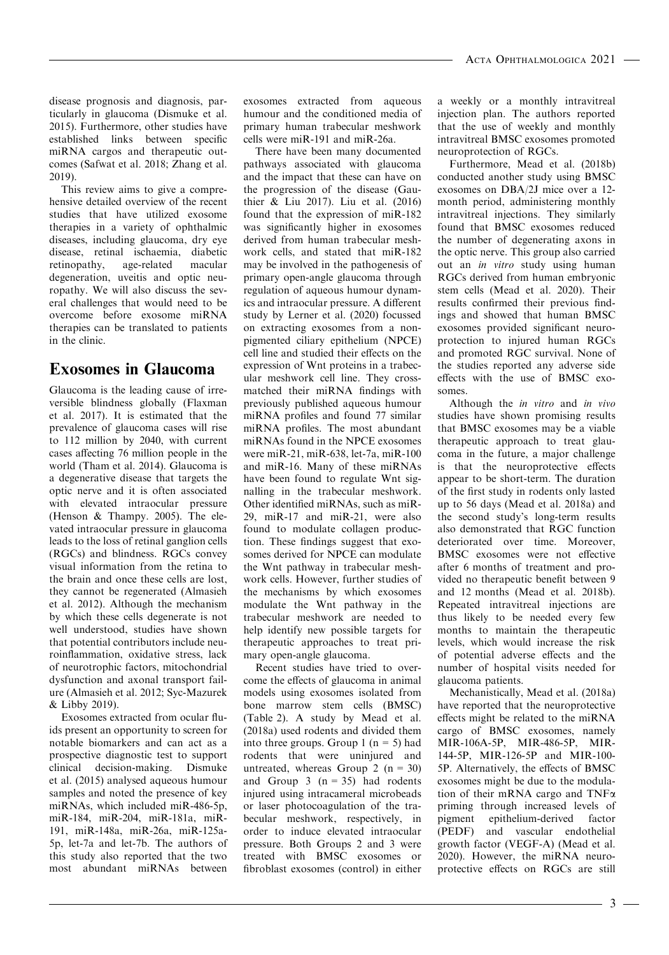disease prognosis and diagnosis, particularly in glaucoma (Dismuke et al. 2015). Furthermore, other studies have established links between specific miRNA cargos and therapeutic outcomes (Safwat et al. 2018; Zhang et al. 2019).

This review aims to give a comprehensive detailed overview of the recent studies that have utilized exosome therapies in a variety of ophthalmic diseases, including glaucoma, dry eye disease, retinal ischaemia, diabetic retinopathy, age-related macular degeneration, uveitis and optic neuropathy. We will also discuss the several challenges that would need to be overcome before exosome miRNA therapies can be translated to patients in the clinic.

### Exosomes in Glaucoma

Glaucoma is the leading cause of irreversible blindness globally (Flaxman et al. 2017). It is estimated that the prevalence of glaucoma cases will rise to 112 million by 2040, with current cases affecting 76 million people in the world (Tham et al. 2014). Glaucoma is a degenerative disease that targets the optic nerve and it is often associated with elevated intraocular pressure (Henson & Thampy. 2005). The elevated intraocular pressure in glaucoma leads to the loss of retinal ganglion cells (RGCs) and blindness. RGCs convey visual information from the retina to the brain and once these cells are lost, they cannot be regenerated (Almasieh et al. 2012). Although the mechanism by which these cells degenerate is not well understood, studies have shown that potential contributors include neuroinflammation, oxidative stress, lack of neurotrophic factors, mitochondrial dysfunction and axonal transport failure (Almasieh et al. 2012; Syc-Mazurek & Libby 2019).

Exosomes extracted from ocular fluids present an opportunity to screen for notable biomarkers and can act as a prospective diagnostic test to support clinical decision-making. Dismuke et al. (2015) analysed aqueous humour samples and noted the presence of key miRNAs, which included miR-486-5p, miR-184, miR-204, miR-181a, miR-191, miR-148a, miR-26a, miR-125a-5p, let-7a and let-7b. The authors of this study also reported that the two most abundant miRNAs between

exosomes extracted from aqueous humour and the conditioned media of primary human trabecular meshwork cells were miR-191 and miR-26a.

There have been many documented pathways associated with glaucoma and the impact that these can have on the progression of the disease (Gauthier & Liu 2017). Liu et al. (2016) found that the expression of miR-182 was significantly higher in exosomes derived from human trabecular meshwork cells, and stated that miR-182 may be involved in the pathogenesis of primary open-angle glaucoma through regulation of aqueous humour dynamics and intraocular pressure. A different study by Lerner et al. (2020) focussed on extracting exosomes from a nonpigmented ciliary epithelium (NPCE) cell line and studied their effects on the expression of Wnt proteins in a trabecular meshwork cell line. They crossmatched their miRNA findings with previously published aqueous humour miRNA profiles and found 77 similar miRNA profiles. The most abundant miRNAs found in the NPCE exosomes were miR-21, miR-638, let-7a, miR-100 and miR-16. Many of these miRNAs have been found to regulate Wnt signalling in the trabecular meshwork. Other identified miRNAs, such as miR-29, miR-17 and miR-21, were also found to modulate collagen production. These findings suggest that exosomes derived for NPCE can modulate the Wnt pathway in trabecular meshwork cells. However, further studies of the mechanisms by which exosomes modulate the Wnt pathway in the trabecular meshwork are needed to help identify new possible targets for therapeutic approaches to treat primary open-angle glaucoma.

Recent studies have tried to overcome the effects of glaucoma in animal models using exosomes isolated from bone marrow stem cells (BMSC) (Table 2). A study by Mead et al. (2018a) used rodents and divided them into three groups. Group 1 ( $n = 5$ ) had rodents that were uninjured and untreated, whereas Group 2 ( $n = 30$ ) and Group  $3$  (n = 35) had rodents injured using intracameral microbeads or laser photocoagulation of the trabecular meshwork, respectively, in order to induce elevated intraocular pressure. Both Groups 2 and 3 were treated with BMSC exosomes or fibroblast exosomes (control) in either a weekly or a monthly intravitreal injection plan. The authors reported that the use of weekly and monthly intravitreal BMSC exosomes promoted neuroprotection of RGCs.

Furthermore, Mead et al. (2018b) conducted another study using BMSC exosomes on DBA/2J mice over a 12 month period, administering monthly intravitreal injections. They similarly found that BMSC exosomes reduced the number of degenerating axons in the optic nerve. This group also carried out an in vitro study using human RGCs derived from human embryonic stem cells (Mead et al. 2020). Their results confirmed their previous findings and showed that human BMSC exosomes provided significant neuroprotection to injured human RGCs and promoted RGC survival. None of the studies reported any adverse side effects with the use of BMSC exosomes.

Although the in vitro and in vivo studies have shown promising results that BMSC exosomes may be a viable therapeutic approach to treat glaucoma in the future, a major challenge is that the neuroprotective effects appear to be short-term. The duration of the first study in rodents only lasted up to 56 days (Mead et al. 2018a) and the second study's long-term results also demonstrated that RGC function deteriorated over time. Moreover, BMSC exosomes were not effective after 6 months of treatment and provided no therapeutic benefit between 9 and 12 months (Mead et al. 2018b). Repeated intravitreal injections are thus likely to be needed every few months to maintain the therapeutic levels, which would increase the risk of potential adverse effects and the number of hospital visits needed for glaucoma patients.

Mechanistically, Mead et al. (2018a) have reported that the neuroprotective effects might be related to the miRNA cargo of BMSC exosomes, namely MIR-106A-5P, MIR-486-5P, MIR-144-5P, MIR-126-5P and MIR-100- 5P. Alternatively, the effects of BMSC exosomes might be due to the modulation of their mRNA cargo and TNFa priming through increased levels of pigment epithelium-derived factor (PEDF) and vascular endothelial growth factor (VEGF-A) (Mead et al. 2020). However, the miRNA neuroprotective effects on RGCs are still

- 3 -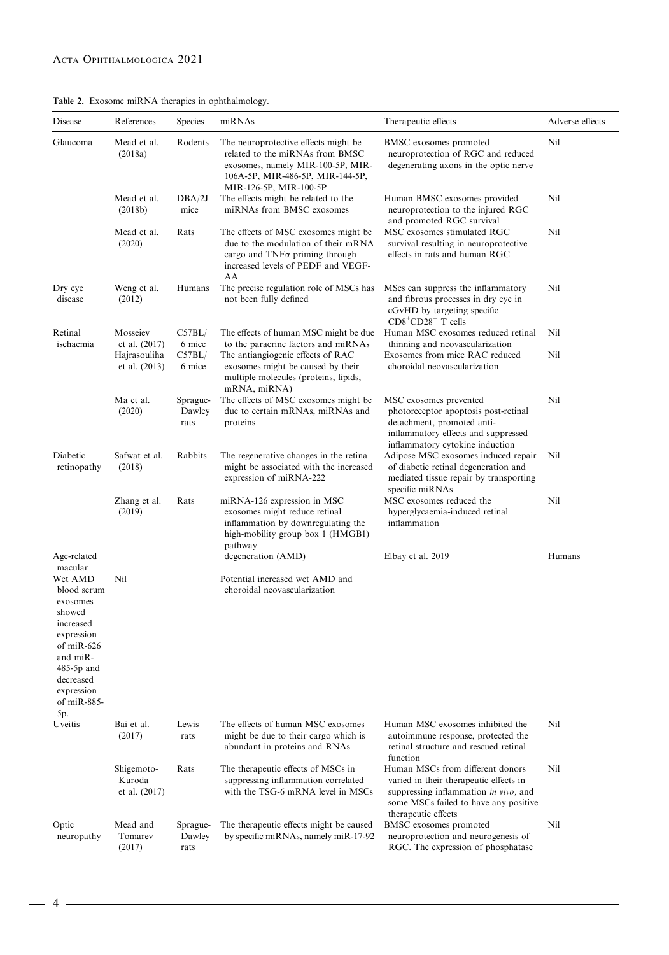|  |  |  |  |  | <b>Table 2.</b> Exosome miRNA therapies in ophthalmology. |
|--|--|--|--|--|-----------------------------------------------------------|
|--|--|--|--|--|-----------------------------------------------------------|

| Disease                                                                                                                                                                | References                            | Species                    | miRNAs                                                                                                                                                                                  | Therapeutic effects                                                                                                                                                                 | Adverse effects |
|------------------------------------------------------------------------------------------------------------------------------------------------------------------------|---------------------------------------|----------------------------|-----------------------------------------------------------------------------------------------------------------------------------------------------------------------------------------|-------------------------------------------------------------------------------------------------------------------------------------------------------------------------------------|-----------------|
| Glaucoma                                                                                                                                                               | Mead et al.<br>(2018a)                | Rodents                    | The neuroprotective effects might be<br>related to the miRNAs from BMSC<br>exosomes, namely MIR-100-5P, MIR-<br>106A-5P, MIR-486-5P, MIR-144-5P,<br>MIR-126-5P, MIR-100-5P              | BMSC exosomes promoted<br>neuroprotection of RGC and reduced<br>degenerating axons in the optic nerve                                                                               | Nil             |
|                                                                                                                                                                        | Mead et al.<br>(2018b)                | DBA/2J<br>mice             | The effects might be related to the<br>miRNAs from BMSC exosomes                                                                                                                        | Human BMSC exosomes provided<br>neuroprotection to the injured RGC<br>and promoted RGC survival                                                                                     | Nil             |
|                                                                                                                                                                        | Mead et al.<br>(2020)                 | Rats                       | The effects of MSC exosomes might be<br>due to the modulation of their mRNA<br>cargo and TNF <sub><math>\alpha</math></sub> priming through<br>increased levels of PEDF and VEGF-<br>AA | MSC exosomes stimulated RGC<br>survival resulting in neuroprotective<br>effects in rats and human RGC                                                                               | Nil             |
| Dry eye<br>disease                                                                                                                                                     | Weng et al.<br>(2012)                 | Humans                     | The precise regulation role of MSCs has<br>not been fully defined                                                                                                                       | MScs can suppress the inflammatory<br>and fibrous processes in dry eye in<br>cGvHD by targeting specific<br>$CD8+CD28$ <sup>-</sup> T cells                                         | Nil             |
| Retinal<br>ischaemia                                                                                                                                                   | Mosseiev<br>et al. (2017)             | C57BL/<br>6 mice           | The effects of human MSC might be due<br>to the paracrine factors and miRNAs                                                                                                            | Human MSC exosomes reduced retinal<br>thinning and neovascularization                                                                                                               | Nil             |
|                                                                                                                                                                        | Hajrasouliha<br>et al. (2013)         | C57BL/<br>6 mice           | The antiangiogenic effects of RAC<br>exosomes might be caused by their<br>multiple molecules (proteins, lipids,<br>mRNA, miRNA)                                                         | Exosomes from mice RAC reduced<br>choroidal neovascularization                                                                                                                      | Nil             |
|                                                                                                                                                                        | Ma et al.<br>(2020)                   | Sprague-<br>Dawley<br>rats | The effects of MSC exosomes might be<br>due to certain mRNAs, miRNAs and<br>proteins                                                                                                    | MSC exosomes prevented<br>photoreceptor apoptosis post-retinal<br>detachment, promoted anti-<br>inflammatory effects and suppressed<br>inflammatory cytokine induction              | Nil             |
| Diabetic<br>retinopathy                                                                                                                                                | Safwat et al.<br>(2018)               | Rabbits                    | The regenerative changes in the retina<br>might be associated with the increased<br>expression of miRNA-222                                                                             | Adipose MSC exosomes induced repair<br>of diabetic retinal degeneration and<br>mediated tissue repair by transporting<br>specific miRNAs                                            | Nil             |
|                                                                                                                                                                        | Zhang et al.<br>(2019)                | Rats                       | miRNA-126 expression in MSC<br>exosomes might reduce retinal<br>inflammation by downregulating the<br>high-mobility group box 1 (HMGB1)<br>pathway                                      | MSC exosomes reduced the<br>hyperglycaemia-induced retinal<br>inflammation                                                                                                          | Nil             |
| Age-related<br>macular                                                                                                                                                 |                                       |                            | degeneration (AMD)                                                                                                                                                                      | Elbay et al. 2019                                                                                                                                                                   | Humans          |
| Wet AMD<br>blood serum<br>exosomes<br>showed<br>increased<br>expression<br>of $miR-626$<br>and miR-<br>$485-5p$ and<br>decreased<br>expression<br>of $miR-885-$<br>5p. | Nil                                   |                            | Potential increased wet AMD and<br>choroidal neovascularization                                                                                                                         |                                                                                                                                                                                     |                 |
| Uveitis                                                                                                                                                                | Bai et al.<br>(2017)                  | Lewis<br>rats              | The effects of human MSC exosomes<br>might be due to their cargo which is<br>abundant in proteins and RNAs                                                                              | Human MSC exosomes inhibited the<br>autoimmune response, protected the<br>retinal structure and rescued retinal<br>function                                                         | Nil             |
|                                                                                                                                                                        | Shigemoto-<br>Kuroda<br>et al. (2017) | Rats                       | The therapeutic effects of MSCs in<br>suppressing inflammation correlated<br>with the TSG-6 mRNA level in MSCs                                                                          | Human MSCs from different donors<br>varied in their therapeutic effects in<br>suppressing inflammation in vivo, and<br>some MSCs failed to have any positive<br>therapeutic effects | Nil             |
| Optic<br>neuropathy                                                                                                                                                    | Mead and<br>Tomarev<br>(2017)         | Sprague-<br>Dawley<br>rats | The therapeutic effects might be caused<br>by specific miRNAs, namely miR-17-92                                                                                                         | BMSC exosomes promoted<br>neuroprotection and neurogenesis of<br>RGC. The expression of phosphatase                                                                                 | Nil             |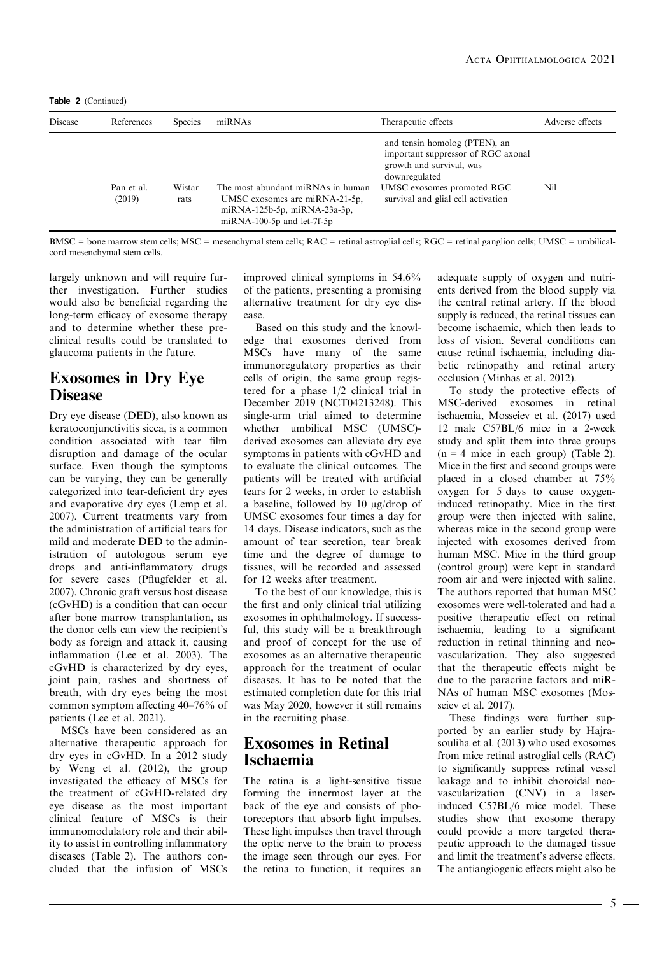Table 2 (Continued)

| Disease | References           | <b>Species</b> | miRNAs                                                                                                                              | Therapeutic effects                                                                                                                                                                  | Adverse effects |  |
|---------|----------------------|----------------|-------------------------------------------------------------------------------------------------------------------------------------|--------------------------------------------------------------------------------------------------------------------------------------------------------------------------------------|-----------------|--|
|         | Pan et al.<br>(2019) | Wistar<br>rats | The most abundant miRNAs in human<br>UMSC exosomes are miRNA-21-5p,<br>miRNA-125b-5p, miRNA-23a-3p,<br>$miRNA-100-5p$ and let-7f-5p | and tensin homolog (PTEN), an<br>important suppressor of RGC axonal<br>growth and survival, was<br>downregulated<br>UMSC exosomes promoted RGC<br>survival and glial cell activation | Nil             |  |

BMSC = bone marrow stem cells; MSC = mesenchymal stem cells; RAC = retinal astroglial cells; RGC = retinal ganglion cells; UMSC = umbilicalcord mesenchymal stem cells.

largely unknown and will require further investigation. Further studies would also be beneficial regarding the long-term efficacy of exosome therapy and to determine whether these preclinical results could be translated to glaucoma patients in the future.

#### Exosomes in Dry Eye Disease

Dry eye disease (DED), also known as keratoconjunctivitis sicca, is a common condition associated with tear film disruption and damage of the ocular surface. Even though the symptoms can be varying, they can be generally categorized into tear-deficient dry eyes and evaporative dry eyes (Lemp et al. 2007). Current treatments vary from the administration of artificial tears for mild and moderate DED to the administration of autologous serum eye drops and anti-inflammatory drugs for severe cases (Pflugfelder et al. 2007). Chronic graft versus host disease (cGvHD) is a condition that can occur after bone marrow transplantation, as the donor cells can view the recipient's body as foreign and attack it, causing inflammation (Lee et al. 2003). The cGvHD is characterized by dry eyes, joint pain, rashes and shortness of breath, with dry eyes being the most common symptom affecting 40–76% of patients (Lee et al. 2021).

MSCs have been considered as an alternative therapeutic approach for dry eyes in cGvHD. In a 2012 study by Weng et al. (2012), the group investigated the efficacy of MSCs for the treatment of cGvHD-related dry eye disease as the most important clinical feature of MSCs is their immunomodulatory role and their ability to assist in controlling inflammatory diseases (Table 2). The authors concluded that the infusion of MSCs improved clinical symptoms in 54.6% of the patients, presenting a promising alternative treatment for dry eye disease.

Based on this study and the knowledge that exosomes derived from MSCs have many of the same immunoregulatory properties as their cells of origin, the same group registered for a phase 1/2 clinical trial in December 2019 (NCT04213248). This single-arm trial aimed to determine whether umbilical MSC (UMSC) derived exosomes can alleviate dry eye symptoms in patients with cGvHD and to evaluate the clinical outcomes. The patients will be treated with artificial tears for 2 weeks, in order to establish a baseline, followed by 10 µg/drop of UMSC exosomes four times a day for 14 days. Disease indicators, such as the amount of tear secretion, tear break time and the degree of damage to tissues, will be recorded and assessed for 12 weeks after treatment.

To the best of our knowledge, this is the first and only clinical trial utilizing exosomes in ophthalmology. If successful, this study will be a breakthrough and proof of concept for the use of exosomes as an alternative therapeutic approach for the treatment of ocular diseases. It has to be noted that the estimated completion date for this trial was May 2020, however it still remains in the recruiting phase.

#### Exosomes in Retinal Ischaemia

The retina is a light-sensitive tissue forming the innermost layer at the back of the eye and consists of photoreceptors that absorb light impulses. These light impulses then travel through the optic nerve to the brain to process the image seen through our eyes. For the retina to function, it requires an adequate supply of oxygen and nutrients derived from the blood supply via the central retinal artery. If the blood supply is reduced, the retinal tissues can become ischaemic, which then leads to loss of vision. Several conditions can cause retinal ischaemia, including diabetic retinopathy and retinal artery occlusion (Minhas et al. 2012).

To study the protective effects of MSC-derived exosomes in retinal ischaemia, Mosseiev et al. (2017) used 12 male C57BL/6 mice in a 2-week study and split them into three groups  $(n = 4$  mice in each group) (Table 2). Mice in the first and second groups were placed in a closed chamber at 75% oxygen for 5 days to cause oxygeninduced retinopathy. Mice in the first group were then injected with saline, whereas mice in the second group were injected with exosomes derived from human MSC. Mice in the third group (control group) were kept in standard room air and were injected with saline. The authors reported that human MSC exosomes were well-tolerated and had a positive therapeutic effect on retinal ischaemia, leading to a significant reduction in retinal thinning and neovascularization. They also suggested that the therapeutic effects might be due to the paracrine factors and miR-NAs of human MSC exosomes (Mosseiev et al. 2017).

These findings were further supported by an earlier study by Hajrasouliha et al. (2013) who used exosomes from mice retinal astroglial cells (RAC) to significantly suppress retinal vessel leakage and to inhibit choroidal neovascularization (CNV) in a laserinduced C57BL/6 mice model. These studies show that exosome therapy could provide a more targeted therapeutic approach to the damaged tissue and limit the treatment's adverse effects. The antiangiogenic effects might also be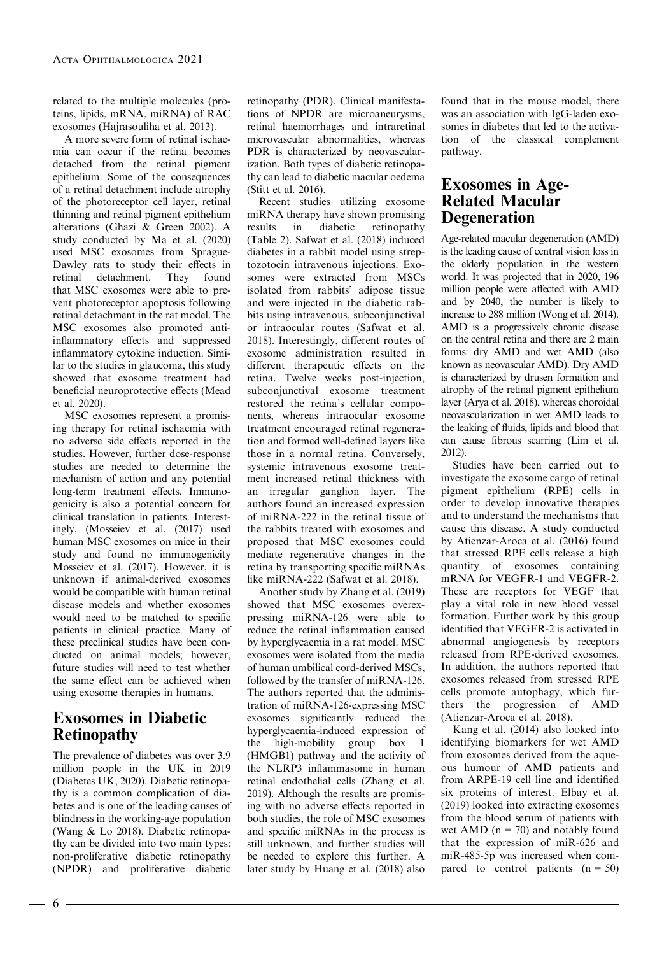related to the multiple molecules (proteins, lipids, mRNA, miRNA) of RAC exosomes (Hajrasouliha et al. 2013).

A more severe form of retinal ischaemia can occur if the retina becomes detached from the retinal pigment epithelium. Some of the consequences of a retinal detachment include atrophy of the photoreceptor cell layer, retinal thinning and retinal pigment epithelium alterations (Ghazi & Green 2002). A study conducted by Ma et al. (2020) used MSC exosomes from Sprague-Dawley rats to study their effects in retinal detachment. They found that MSC exosomes were able to prevent photoreceptor apoptosis following retinal detachment in the rat model. The MSC exosomes also promoted antiinflammatory effects and suppressed inflammatory cytokine induction. Similar to the studies in glaucoma, this study showed that exosome treatment had beneficial neuroprotective effects (Mead et al. 2020).

MSC exosomes represent a promising therapy for retinal ischaemia with no adverse side effects reported in the studies. However, further dose-response studies are needed to determine the mechanism of action and any potential long-term treatment effects. Immunogenicity is also a potential concern for clinical translation in patients. Interestingly, (Mosseiev et al. (2017) used human MSC exosomes on mice in their study and found no immunogenicity Mosseiev et al. (2017). However, it is unknown if animal-derived exosomes would be compatible with human retinal disease models and whether exosomes would need to be matched to specific patients in clinical practice. Many of these preclinical studies have been conducted on animal models; however, future studies will need to test whether the same effect can be achieved when using exosome therapies in humans.

#### Exosomes in Diabetic Retinopathy

The prevalence of diabetes was over 3.9 million people in the UK in 2019 (Diabetes UK, 2020). Diabetic retinopathy is a common complication of diabetes and is one of the leading causes of blindness in the working-age population (Wang & Lo 2018). Diabetic retinopathy can be divided into two main types: non-proliferative diabetic retinopathy (NPDR) and proliferative diabetic

retinopathy (PDR). Clinical manifestations of NPDR are microaneurysms, retinal haemorrhages and intraretinal microvascular abnormalities, whereas PDR is characterized by neovascularization. Both types of diabetic retinopathy can lead to diabetic macular oedema (Stitt et al. 2016).

Recent studies utilizing exosome miRNA therapy have shown promising results in diabetic retinopathy (Table 2). Safwat et al. (2018) induced diabetes in a rabbit model using streptozotocin intravenous injections. Exosomes were extracted from MSCs isolated from rabbits' adipose tissue and were injected in the diabetic rabbits using intravenous, subconjunctival or intraocular routes (Safwat et al. 2018). Interestingly, different routes of exosome administration resulted in different therapeutic effects on the retina. Twelve weeks post-injection, subconjunctival exosome treatment restored the retina's cellular components, whereas intraocular exosome treatment encouraged retinal regeneration and formed well-defined layers like those in a normal retina. Conversely, systemic intravenous exosome treatment increased retinal thickness with an irregular ganglion layer. The authors found an increased expression of miRNA-222 in the retinal tissue of the rabbits treated with exosomes and proposed that MSC exosomes could mediate regenerative changes in the retina by transporting specific miRNAs like miRNA-222 (Safwat et al. 2018).

Another study by Zhang et al. (2019) showed that MSC exosomes overexpressing miRNA-126 were able to reduce the retinal inflammation caused by hyperglycaemia in a rat model. MSC exosomes were isolated from the media of human umbilical cord-derived MSCs, followed by the transfer of miRNA-126. The authors reported that the administration of miRNA-126-expressing MSC exosomes significantly reduced the hyperglycaemia-induced expression of the high-mobility group box 1 (HMGB1) pathway and the activity of the NLRP3 inflammasome in human retinal endothelial cells (Zhang et al. 2019). Although the results are promising with no adverse effects reported in both studies, the role of MSC exosomes and specific miRNAs in the process is still unknown, and further studies will be needed to explore this further. A later study by Huang et al. (2018) also

found that in the mouse model, there was an association with IgG-laden exosomes in diabetes that led to the activation of the classical complement pathway.

#### Exosomes in Age-Related Macular **Degeneration**

Age-related macular degeneration (AMD) is the leading cause of central vision loss in the elderly population in the western world. It was projected that in 2020, 196 million people were affected with AMD and by 2040, the number is likely to increase to 288 million (Wong et al. 2014). AMD is a progressively chronic disease on the central retina and there are 2 main forms: dry AMD and wet AMD (also known as neovascular AMD). Dry AMD is characterized by drusen formation and atrophy of the retinal pigment epithelium layer (Arya et al. 2018), whereas choroidal neovascularization in wet AMD leads to the leaking of fluids, lipids and blood that can cause fibrous scarring (Lim et al. 2012).

Studies have been carried out to investigate the exosome cargo of retinal pigment epithelium (RPE) cells in order to develop innovative therapies and to understand the mechanisms that cause this disease. A study conducted by Atienzar-Aroca et al. (2016) found that stressed RPE cells release a high quantity of exosomes containing mRNA for VEGFR-1 and VEGFR-2. These are receptors for VEGF that play a vital role in new blood vessel formation. Further work by this group identified that VEGFR-2 is activated in abnormal angiogenesis by receptors released from RPE-derived exosomes. In addition, the authors reported that exosomes released from stressed RPE cells promote autophagy, which furthers the progression of AMD (Atienzar-Aroca et al. 2018).

Kang et al. (2014) also looked into identifying biomarkers for wet AMD from exosomes derived from the aqueous humour of AMD patients and from ARPE-19 cell line and identified six proteins of interest. Elbay et al. (2019) looked into extracting exosomes from the blood serum of patients with wet AMD ( $n = 70$ ) and notably found that the expression of miR-626 and miR-485-5p was increased when compared to control patients  $(n = 50)$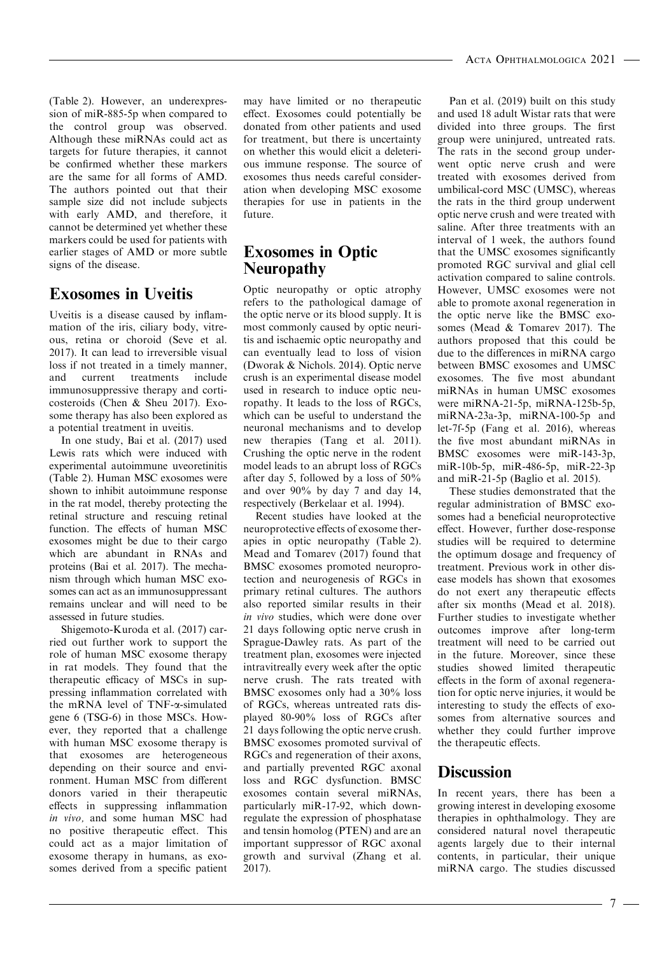(Table 2). However, an underexpression of miR-885-5p when compared to the control group was observed. Although these miRNAs could act as targets for future therapies, it cannot be confirmed whether these markers are the same for all forms of AMD. The authors pointed out that their sample size did not include subjects with early AMD, and therefore, it cannot be determined yet whether these markers could be used for patients with earlier stages of AMD or more subtle signs of the disease.

### Exosomes in Uveitis

Uveitis is a disease caused by inflammation of the iris, ciliary body, vitreous, retina or choroid (Seve et al. 2017). It can lead to irreversible visual loss if not treated in a timely manner, and current treatments include immunosuppressive therapy and corticosteroids (Chen & Sheu 2017). Exosome therapy has also been explored as a potential treatment in uveitis.

In one study, Bai et al. (2017) used Lewis rats which were induced with experimental autoimmune uveoretinitis (Table 2). Human MSC exosomes were shown to inhibit autoimmune response in the rat model, thereby protecting the retinal structure and rescuing retinal function. The effects of human MSC exosomes might be due to their cargo which are abundant in RNAs and proteins (Bai et al. 2017). The mechanism through which human MSC exosomes can act as an immunosuppressant remains unclear and will need to be assessed in future studies.

Shigemoto-Kuroda et al. (2017) carried out further work to support the role of human MSC exosome therapy in rat models. They found that the therapeutic efficacy of MSCs in suppressing inflammation correlated with the mRNA level of TNF- $\alpha$ -simulated gene 6 (TSG-6) in those MSCs. However, they reported that a challenge with human MSC exosome therapy is that exosomes are heterogeneous depending on their source and environment. Human MSC from different donors varied in their therapeutic effects in suppressing inflammation in vivo, and some human MSC had no positive therapeutic effect. This could act as a major limitation of exosome therapy in humans, as exosomes derived from a specific patient may have limited or no therapeutic effect. Exosomes could potentially be donated from other patients and used for treatment, but there is uncertainty on whether this would elicit a deleterious immune response. The source of exosomes thus needs careful consideration when developing MSC exosome therapies for use in patients in the future.

#### Exosomes in Optic Neuropathy

Optic neuropathy or optic atrophy refers to the pathological damage of the optic nerve or its blood supply. It is most commonly caused by optic neuritis and ischaemic optic neuropathy and can eventually lead to loss of vision (Dworak & Nichols. 2014). Optic nerve crush is an experimental disease model used in research to induce optic neuropathy. It leads to the loss of RGCs, which can be useful to understand the neuronal mechanisms and to develop new therapies (Tang et al. 2011). Crushing the optic nerve in the rodent model leads to an abrupt loss of RGCs after day 5, followed by a loss of 50% and over 90% by day 7 and day 14, respectively (Berkelaar et al. 1994).

Recent studies have looked at the neuroprotective effects of exosome therapies in optic neuropathy (Table 2). Mead and Tomarev (2017) found that BMSC exosomes promoted neuroprotection and neurogenesis of RGCs in primary retinal cultures. The authors also reported similar results in their in vivo studies, which were done over 21 days following optic nerve crush in Sprague-Dawley rats. As part of the treatment plan, exosomes were injected intravitreally every week after the optic nerve crush. The rats treated with BMSC exosomes only had a 30% loss of RGCs, whereas untreated rats displayed 80-90% loss of RGCs after 21 days following the optic nerve crush. BMSC exosomes promoted survival of RGCs and regeneration of their axons, and partially prevented RGC axonal loss and RGC dysfunction. BMSC exosomes contain several miRNAs, particularly miR-17-92, which downregulate the expression of phosphatase and tensin homolog (PTEN) and are an important suppressor of RGC axonal growth and survival (Zhang et al. 2017).

Pan et al. (2019) built on this study and used 18 adult Wistar rats that were divided into three groups. The first group were uninjured, untreated rats. The rats in the second group underwent optic nerve crush and were treated with exosomes derived from umbilical-cord MSC (UMSC), whereas the rats in the third group underwent optic nerve crush and were treated with saline. After three treatments with an interval of 1 week, the authors found that the UMSC exosomes significantly promoted RGC survival and glial cell activation compared to saline controls. However, UMSC exosomes were not able to promote axonal regeneration in the optic nerve like the BMSC exosomes (Mead & Tomarev 2017). The authors proposed that this could be due to the differences in miRNA cargo between BMSC exosomes and UMSC exosomes. The five most abundant miRNAs in human UMSC exosomes were miRNA-21-5p, miRNA-125b-5p, miRNA-23a-3p, miRNA-100-5p and let-7f-5p (Fang et al. 2016), whereas the five most abundant miRNAs in BMSC exosomes were miR-143-3p, miR-10b-5p, miR-486-5p, miR-22-3p and miR-21-5p (Baglio et al. 2015).

These studies demonstrated that the regular administration of BMSC exosomes had a beneficial neuroprotective effect. However, further dose-response studies will be required to determine the optimum dosage and frequency of treatment. Previous work in other disease models has shown that exosomes do not exert any therapeutic effects after six months (Mead et al. 2018). Further studies to investigate whether outcomes improve after long-term treatment will need to be carried out in the future. Moreover, since these studies showed limited therapeutic effects in the form of axonal regeneration for optic nerve injuries, it would be interesting to study the effects of exosomes from alternative sources and whether they could further improve the therapeutic effects.

#### **Discussion**

In recent years, there has been a growing interest in developing exosome therapies in ophthalmology. They are considered natural novel therapeutic agents largely due to their internal contents, in particular, their unique miRNA cargo. The studies discussed

 $-7-$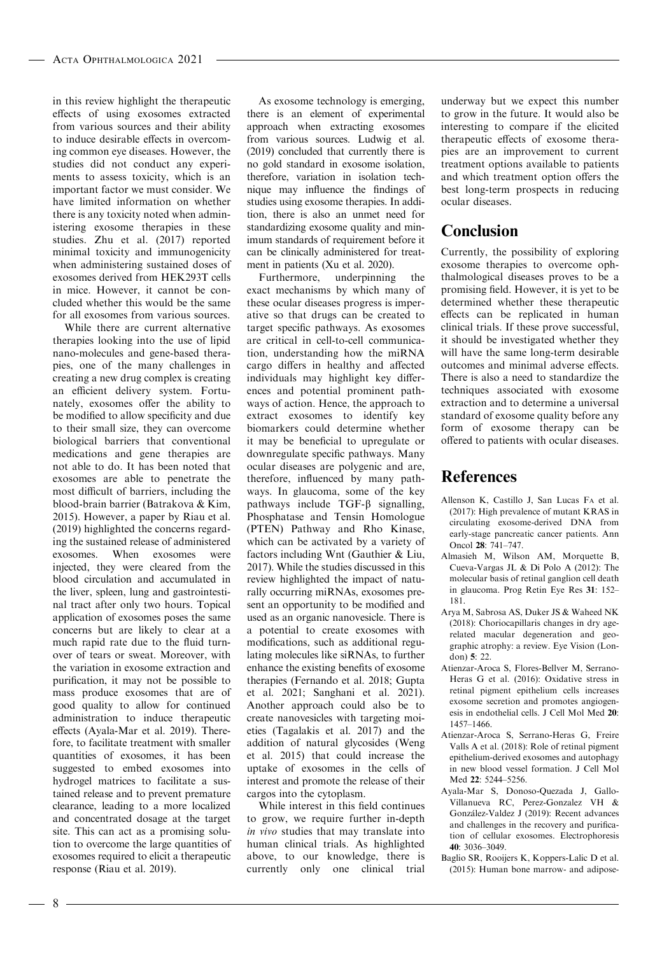in this review highlight the therapeutic effects of using exosomes extracted from various sources and their ability to induce desirable effects in overcoming common eye diseases. However, the studies did not conduct any experiments to assess toxicity, which is an important factor we must consider. We have limited information on whether there is any toxicity noted when administering exosome therapies in these studies. Zhu et al. (2017) reported minimal toxicity and immunogenicity when administering sustained doses of exosomes derived from HEK293T cells in mice. However, it cannot be concluded whether this would be the same for all exosomes from various sources.

While there are current alternative therapies looking into the use of lipid nano-molecules and gene-based therapies, one of the many challenges in creating a new drug complex is creating an efficient delivery system. Fortunately, exosomes offer the ability to be modified to allow specificity and due to their small size, they can overcome biological barriers that conventional medications and gene therapies are not able to do. It has been noted that exosomes are able to penetrate the most difficult of barriers, including the blood-brain barrier (Batrakova & Kim, 2015). However, a paper by Riau et al. (2019) highlighted the concerns regarding the sustained release of administered exosomes. When exosomes were injected, they were cleared from the blood circulation and accumulated in the liver, spleen, lung and gastrointestinal tract after only two hours. Topical application of exosomes poses the same concerns but are likely to clear at a much rapid rate due to the fluid turnover of tears or sweat. Moreover, with the variation in exosome extraction and purification, it may not be possible to mass produce exosomes that are of good quality to allow for continued administration to induce therapeutic effects (Ayala-Mar et al. 2019). Therefore, to facilitate treatment with smaller quantities of exosomes, it has been suggested to embed exosomes into hydrogel matrices to facilitate a sustained release and to prevent premature clearance, leading to a more localized and concentrated dosage at the target site. This can act as a promising solution to overcome the large quantities of exosomes required to elicit a therapeutic response (Riau et al. 2019).

As exosome technology is emerging, there is an element of experimental approach when extracting exosomes from various sources. Ludwig et al. (2019) concluded that currently there is no gold standard in exosome isolation, therefore, variation in isolation technique may influence the findings of studies using exosome therapies. In addition, there is also an unmet need for standardizing exosome quality and minimum standards of requirement before it can be clinically administered for treatment in patients (Xu et al. 2020).

Furthermore, underpinning the exact mechanisms by which many of these ocular diseases progress is imperative so that drugs can be created to target specific pathways. As exosomes are critical in cell-to-cell communication, understanding how the miRNA cargo differs in healthy and affected individuals may highlight key differences and potential prominent pathways of action. Hence, the approach to extract exosomes to identify key biomarkers could determine whether it may be beneficial to upregulate or downregulate specific pathways. Many ocular diseases are polygenic and are, therefore, influenced by many pathways. In glaucoma, some of the key pathways include  $TGF- $\beta$  signalling,$ Phosphatase and Tensin Homologue (PTEN) Pathway and Rho Kinase, which can be activated by a variety of factors including Wnt (Gauthier & Liu, 2017). While the studies discussed in this review highlighted the impact of naturally occurring miRNAs, exosomes present an opportunity to be modified and used as an organic nanovesicle. There is a potential to create exosomes with modifications, such as additional regulating molecules like siRNAs, to further enhance the existing benefits of exosome therapies (Fernando et al. 2018; Gupta et al. 2021; Sanghani et al. 2021). Another approach could also be to create nanovesicles with targeting moieties (Tagalakis et al. 2017) and the addition of natural glycosides (Weng et al. 2015) that could increase the uptake of exosomes in the cells of interest and promote the release of their cargos into the cytoplasm.

While interest in this field continues to grow, we require further in-depth in vivo studies that may translate into human clinical trials. As highlighted above, to our knowledge, there is currently only one clinical trial underway but we expect this number to grow in the future. It would also be interesting to compare if the elicited therapeutic effects of exosome therapies are an improvement to current treatment options available to patients and which treatment option offers the best long-term prospects in reducing ocular diseases.

#### Conclusion

Currently, the possibility of exploring exosome therapies to overcome ophthalmological diseases proves to be a promising field. However, it is yet to be determined whether these therapeutic effects can be replicated in human clinical trials. If these prove successful, it should be investigated whether they will have the same long-term desirable outcomes and minimal adverse effects. There is also a need to standardize the techniques associated with exosome extraction and to determine a universal standard of exosome quality before any form of exosome therapy can be offered to patients with ocular diseases.

#### References

- Allenson K, Castillo J, San Lucas FA et al. (2017): High prevalence of mutant KRAS in circulating exosome-derived DNA from early-stage pancreatic cancer patients. Ann Oncol 28: 741–747.
- Almasieh M, Wilson AM, Morquette B, Cueva-Vargas JL & Di Polo A (2012): The molecular basis of retinal ganglion cell death in glaucoma. Prog Retin Eye Res 31: 152– 181.
- Arya M, Sabrosa AS, Duker JS & Waheed NK (2018): Choriocapillaris changes in dry agerelated macular degeneration and geographic atrophy: a review. Eye Vision (London) 5: 22.
- Atienzar-Aroca S, Flores-Bellver M, Serrano-Heras G et al. (2016): Oxidative stress in retinal pigment epithelium cells increases exosome secretion and promotes angiogenesis in endothelial cells. J Cell Mol Med 20: 1457–1466.
- Atienzar-Aroca S, Serrano-Heras G, Freire Valls A et al. (2018): Role of retinal pigment epithelium-derived exosomes and autophagy in new blood vessel formation. J Cell Mol Med 22: 5244–5256.
- Ayala-Mar S, Donoso-Quezada J, Gallo-Villanueva RC, Perez-Gonzalez VH & Gonzalez-Valdez J (2019): Recent advances and challenges in the recovery and purification of cellular exosomes. Electrophoresis 40: 3036–3049.
- Baglio SR, Rooijers K, Koppers-Lalic D et al. (2015): Human bone marrow- and adipose-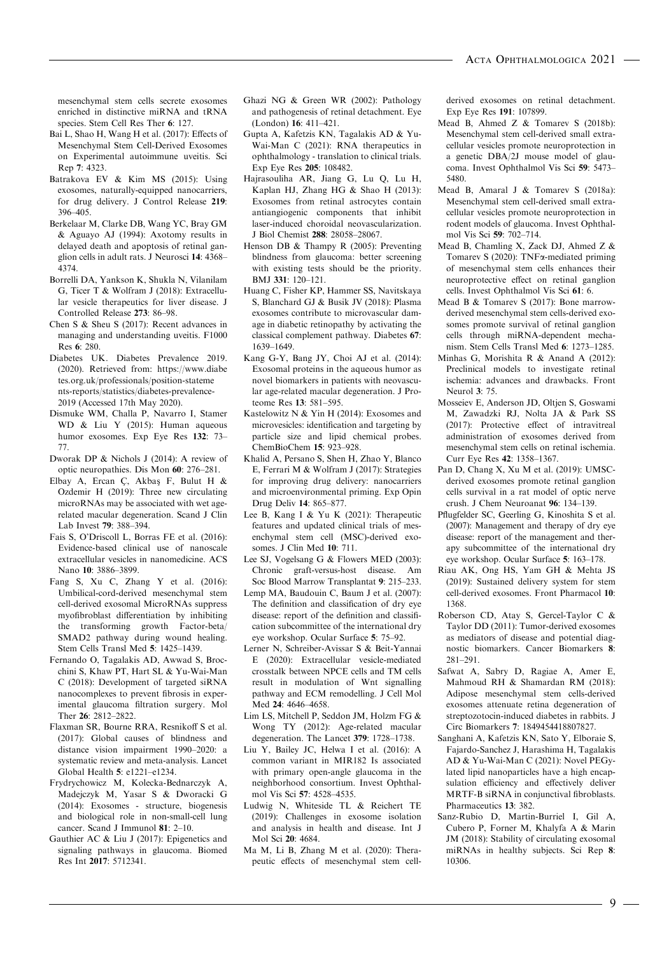mesenchymal stem cells secrete exosomes enriched in distinctive miRNA and tRNA species. Stem Cell Res Ther 6: 127.

- Bai L, Shao H, Wang H et al. (2017): Effects of Mesenchymal Stem Cell-Derived Exosomes on Experimental autoimmune uveitis. Sci Rep 7: 4323.
- Batrakova EV & Kim MS (2015): Using exosomes, naturally-equipped nanocarriers, for drug delivery. J Control Release 219: 396–405.
- Berkelaar M, Clarke DB, Wang YC, Bray GM & Aguayo AJ (1994): Axotomy results in delayed death and apoptosis of retinal ganglion cells in adult rats. J Neurosci 14: 4368– 4374.
- Borrelli DA, Yankson K, Shukla N, Vilanilam G, Ticer T & Wolfram J (2018): Extracellular vesicle therapeutics for liver disease. J Controlled Release 273: 86–98.
- Chen S & Sheu S (2017): Recent advances in managing and understanding uveitis. F1000 Res 6: 280.
- Diabetes UK. Diabetes Prevalence 2019. (2020). Retrieved from: [https://www.diabe](https://www.diabetes.org.uk/professionals/position-statements-reports/statistics/diabetes-prevalence-2019) [tes.org.uk/professionals/position-stateme](https://www.diabetes.org.uk/professionals/position-statements-reports/statistics/diabetes-prevalence-2019) [nts-reports/statistics/diabetes-prevalence-](https://www.diabetes.org.uk/professionals/position-statements-reports/statistics/diabetes-prevalence-2019)[2019](https://www.diabetes.org.uk/professionals/position-statements-reports/statistics/diabetes-prevalence-2019) (Accessed 17th May 2020).
- Dismuke WM, Challa P, Navarro I, Stamer WD & Liu Y (2015): Human aqueous humor exosomes. Exp Eye Res 132: 73– 77.
- Dworak DP & Nichols J (2014): A review of optic neuropathies. Dis Mon 60: 276–281.
- Elbay A, Ercan C, Akbaş F, Bulut H  $\&$ Ozdemir H (2019): Three new circulating microRNAs may be associated with wet agerelated macular degeneration. Scand J Clin Lab Invest 79: 388–394.
- Fais S, O'Driscoll L, Borras FE et al. (2016): Evidence-based clinical use of nanoscale extracellular vesicles in nanomedicine. ACS Nano 10: 3886–3899.
- Fang S, Xu C, Zhang Y et al. (2016): Umbilical-cord-derived mesenchymal stem cell-derived exosomal MicroRNAs suppress myofibroblast differentiation by inhibiting the transforming growth Factor-beta/ SMAD2 pathway during wound healing. Stem Cells Transl Med 5: 1425–1439.
- Fernando O, Tagalakis AD, Awwad S, Brocchini S, Khaw PT, Hart SL & Yu-Wai-Man C (2018): Development of targeted siRNA nanocomplexes to prevent fibrosis in experimental glaucoma filtration surgery. Mol Ther 26: 2812–2822.
- Flaxman SR, Bourne RRA, Resnikoff S et al. (2017): Global causes of blindness and distance vision impairment 1990–2020: a systematic review and meta-analysis. Lancet Global Health 5: e1221–e1234.
- Frydrychowicz M, Kolecka-Bednarczyk A, Madejczyk M, Yasar S & Dworacki G (2014): Exosomes - structure, biogenesis and biological role in non-small-cell lung cancer. Scand J Immunol 81: 2–10.
- Gauthier AC & Liu J (2017): Epigenetics and signaling pathways in glaucoma. Biomed Res Int 2017: 5712341.
- Ghazi NG & Green WR (2002): Pathology and pathogenesis of retinal detachment. Eye (London) 16: 411–421.
- Gupta A, Kafetzis KN, Tagalakis AD & Yu-Wai-Man C (2021): RNA therapeutics in ophthalmology - translation to clinical trials. Exp Eye Res 205: 108482.
- Hajrasouliha AR, Jiang G, Lu Q, Lu H, Kaplan HJ, Zhang HG & Shao H (2013): Exosomes from retinal astrocytes contain antiangiogenic components that inhibit laser-induced choroidal neovascularization. J Biol Chemist 288: 28058–28067.
- Henson DB & Thampy R (2005): Preventing blindness from glaucoma: better screening with existing tests should be the priority. BMJ 331: 120–121.
- Huang C, Fisher KP, Hammer SS, Navitskaya S, Blanchard GJ & Busik JV (2018): Plasma exosomes contribute to microvascular damage in diabetic retinopathy by activating the classical complement pathway. Diabetes 67: 1639–1649.
- Kang G-Y, Bang JY, Choi AJ et al. (2014): Exosomal proteins in the aqueous humor as novel biomarkers in patients with neovascular age-related macular degeneration. J Proteome Res 13: 581–595.
- Kastelowitz N & Yin H (2014): Exosomes and microvesicles: identification and targeting by particle size and lipid chemical probes. ChemBioChem 15: 923–928.
- Khalid A, Persano S, Shen H, Zhao Y, Blanco E, Ferrari M & Wolfram J (2017): Strategies for improving drug delivery: nanocarriers and microenvironmental priming. Exp Opin Drug Deliv 14: 865–877.
- Lee B, Kang I & Yu K (2021): Therapeutic features and updated clinical trials of mesenchymal stem cell (MSC)-derived exosomes. J Clin Med 10: 711.
- Lee SJ, Vogelsang G & Flowers MED (2003): Chronic graft-versus-host disease. Am Soc Blood Marrow Transplantat 9: 215–233.
- Lemp MA, Baudouin C, Baum J et al. (2007): The definition and classification of dry eye disease: report of the definition and classification subcommittee of the international dry eye workshop. Ocular Surface 5: 75–92.
- Lerner N, Schreiber-Avissar S & Beit-Yannai E (2020): Extracellular vesicle-mediated crosstalk between NPCE cells and TM cells result in modulation of Wnt signalling pathway and ECM remodelling. J Cell Mol Med 24: 4646–4658.
- Lim LS, Mitchell P, Seddon JM, Holzm FG & Wong TY (2012): Age-related macular degeneration. The Lancet 379: 1728–1738.
- Liu Y, Bailey JC, Helwa I et al. (2016): A common variant in MIR182 Is associated with primary open-angle glaucoma in the neighborhood consortium. Invest Ophthalmol Vis Sci 57: 4528–4535.
- Ludwig N, Whiteside TL & Reichert TE (2019): Challenges in exosome isolation and analysis in health and disease. Int J Mol Sci 20: 4684.
- Ma M, Li B, Zhang M et al. (2020): Therapeutic effects of mesenchymal stem cell-

derived exosomes on retinal detachment. Exp Eye Res 191: 107899.

- Mead B, Ahmed Z & Tomarev S (2018b): Mesenchymal stem cell-derived small extracellular vesicles promote neuroprotection in a genetic DBA/2J mouse model of glaucoma. Invest Ophthalmol Vis Sci 59: 5473– 5480.
- Mead B, Amaral J & Tomarev S (2018a): Mesenchymal stem cell-derived small extracellular vesicles promote neuroprotection in rodent models of glaucoma. Invest Ophthalmol Vis Sci 59: 702–714.
- Mead B, Chamling X, Zack DJ, Ahmed Z & Tomarev S (2020): TNFa-mediated priming of mesenchymal stem cells enhances their neuroprotective effect on retinal ganglion cells. Invest Ophthalmol Vis Sci 61: 6.
- Mead B & Tomarev S (2017): Bone marrowderived mesenchymal stem cells-derived exosomes promote survival of retinal ganglion cells through miRNA-dependent mechanism. Stem Cells Transl Med 6: 1273–1285.
- Minhas G, Morishita R & Anand A (2012): Preclinical models to investigate retinal ischemia: advances and drawbacks. Front Neurol 3: 75.
- Mosseiev E, Anderson JD, Oltjen S, Goswami M, Zawadzki RJ, Nolta JA & Park SS (2017): Protective effect of intravitreal administration of exosomes derived from mesenchymal stem cells on retinal ischemia. Curr Eye Res 42: 1358–1367.
- Pan D, Chang X, Xu M et al. (2019): UMSCderived exosomes promote retinal ganglion cells survival in a rat model of optic nerve crush. J Chem Neuroanat 96: 134–139.
- Pflugfelder SC, Geerling G, Kinoshita S et al. (2007): Management and therapy of dry eye disease: report of the management and therapy subcommittee of the international dry eye workshop. Ocular Surface 5: 163–178.
- Riau AK, Ong HS, Yam GH & Mehta JS (2019): Sustained delivery system for stem cell-derived exosomes. Front Pharmacol 10: 1368.
- Roberson CD, Atay S, Gercel-Taylor C & Taylor DD (2011): Tumor-derived exosomes as mediators of disease and potential diagnostic biomarkers. Cancer Biomarkers 8: 281–291.
- Safwat A, Sabry D, Ragiae A, Amer E, Mahmoud RH & Shamardan RM (2018): Adipose mesenchymal stem cells-derived exosomes attenuate retina degeneration of streptozotocin-induced diabetes in rabbits. J Circ Biomarkers 7: 1849454418807827.
- Sanghani A, Kafetzis KN, Sato Y, Elboraie S, Fajardo-Sanchez J, Harashima H, Tagalakis AD & Yu-Wai-Man C (2021): Novel PEGylated lipid nanoparticles have a high encapsulation efficiency and effectively deliver MRTF-B siRNA in conjunctival fibroblasts. Pharmaceutics 13: 382.
- Sanz-Rubio D, Martin-Burriel I, Gil A, Cubero P, Forner M, Khalyfa A & Marin JM (2018): Stability of circulating exosomal miRNAs in healthy subjects. Sci Rep 8: 10306.